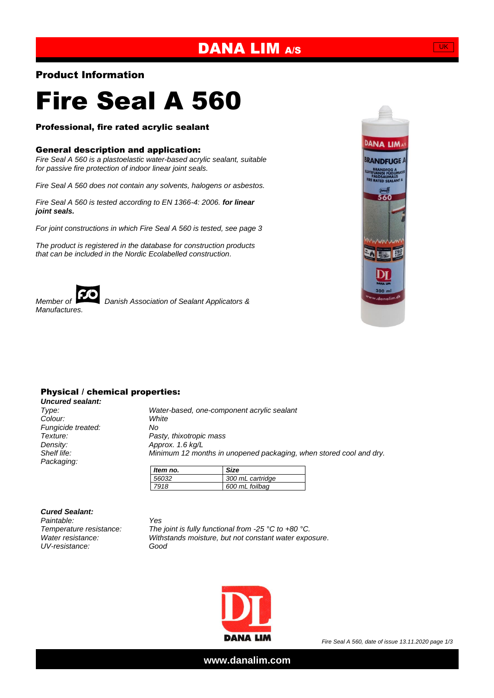## DANA LIM A/S

#### Product Information

# Fire Seal A 560

#### Professional, fire rated acrylic sealant

#### General description and application:

*Fire Seal A 560 is a plastoelastic water-based acrylic sealant, suitable for passive fire protection of indoor linear joint seals.*

*Fire Seal A 560 does not contain any solvents, halogens or asbestos.*

*Fire Seal A 560 is tested according to EN 1366-4: 2006. for linear joint seals.*

*For joint constructions in which Fire Seal A 560 is tested, see page 3*

*The product is registered in the database for construction products that can be included in the Nordic Ecolabelled construction.*



*Member of Danish Association of Sealant Applicators &* 



#### Physical / chemical properties:

*Uncured sealant:*  $C$ olour: *Fungicide treated: No Density: Approx. 1.6 kg/L Packaging:*

*Type: Water-based, one-component acrylic sealant Texture: Pasty, thixotropic mass Shelf life: Minimum 12 months in unopened packaging, when stored cool and dry.*

| Item no. | Size             |
|----------|------------------|
| 56032    | 300 mL cartridge |
| 7918     | 600 mL foilbag   |

*Cured Sealant:*

*Paintable: Yes UV-resistance: Good*

*Temperature resistance: The joint is fully functional from -25 °C to +80 °C. Water resistance: Withstands moisture, but not constant water exposure.*



*Fire Seal A 560, date of issue 13.11.2020 page 1/3*

**www.danalim.com**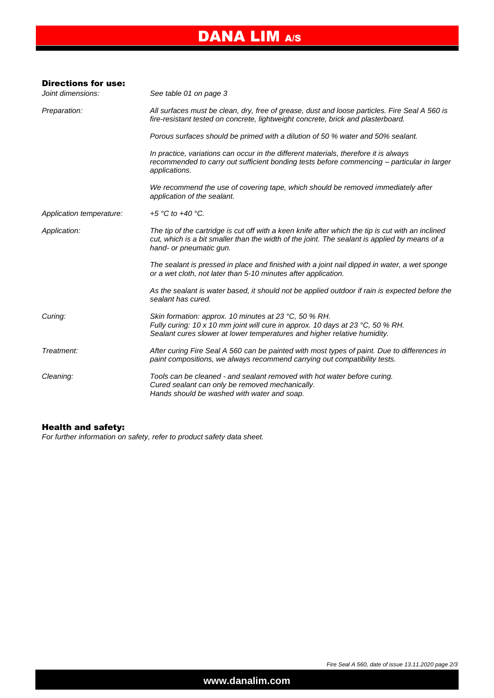# DANA LIM A/S

| <b>Directions for use:</b> |                                                                                                                                                                                                                               |  |  |  |
|----------------------------|-------------------------------------------------------------------------------------------------------------------------------------------------------------------------------------------------------------------------------|--|--|--|
| Joint dimensions:          | See table 01 on page 3                                                                                                                                                                                                        |  |  |  |
| Preparation:               | All surfaces must be clean, dry, free of grease, dust and loose particles. Fire Seal A 560 is<br>fire-resistant tested on concrete, lightweight concrete, brick and plasterboard.                                             |  |  |  |
|                            | Porous surfaces should be primed with a dilution of 50 % water and 50% sealant.                                                                                                                                               |  |  |  |
|                            | In practice, variations can occur in the different materials, therefore it is always<br>recommended to carry out sufficient bonding tests before commencing - particular in larger<br>applications.                           |  |  |  |
|                            | We recommend the use of covering tape, which should be removed immediately after<br>application of the sealant.                                                                                                               |  |  |  |
| Application temperature:   | +5 °C to +40 °C.                                                                                                                                                                                                              |  |  |  |
| Application:               | The tip of the cartridge is cut off with a keen knife after which the tip is cut with an inclined<br>cut, which is a bit smaller than the width of the joint. The sealant is applied by means of a<br>hand- or pneumatic gun. |  |  |  |
|                            | The sealant is pressed in place and finished with a joint nail dipped in water, a wet sponge<br>or a wet cloth, not later than 5-10 minutes after application.                                                                |  |  |  |
|                            | As the sealant is water based, it should not be applied outdoor if rain is expected before the<br>sealant has cured.                                                                                                          |  |  |  |
| Curing:                    | Skin formation: approx. 10 minutes at 23 °C, 50 % RH.<br>Fully curing: 10 x 10 mm joint will cure in approx. 10 days at 23 °C, 50 % RH.<br>Sealant cures slower at lower temperatures and higher relative humidity.           |  |  |  |
| Treatment:                 | After curing Fire Seal A 560 can be painted with most types of paint. Due to differences in<br>paint compositions, we always recommend carrying out compatibility tests.                                                      |  |  |  |
| Cleaning:                  | Tools can be cleaned - and sealant removed with hot water before curing.<br>Cured sealant can only be removed mechanically.<br>Hands should be washed with water and soap.                                                    |  |  |  |

#### Health and safety:

*For further information on safety, refer to product safety data sheet.*